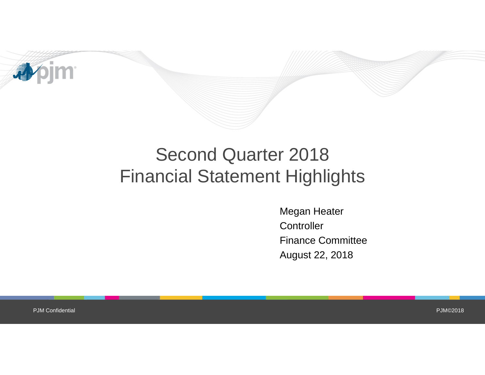

# Second Quarter 2018 Financial Statement Highlights

Megan Heater **Controller** Finance Committee August 22, 2018

PJM Confidential

PJM©2018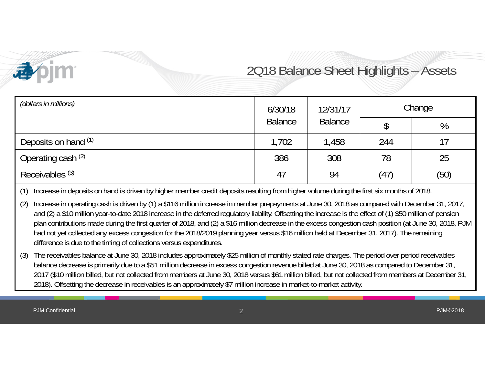

### 2Q18 Balance Sheet Highlights – Assets

| (dollars in millions)      | 6/30/18        | 12/31/17       |      | Change |
|----------------------------|----------------|----------------|------|--------|
|                            | <b>Balance</b> | <b>Balance</b> |      | %      |
| Deposits on hand (1)       | 1,702          | 1,458          | 244  | 17     |
| Operating cash (2)         | 386            | 308            | 78   | 25     |
| Receivables <sup>(3)</sup> | 47             | 94             | (47) | (50)   |

(1) Increase in deposits on hand is driven by higher member credit deposits resulting from higher volume during the first six months of 2018.

(2) Increase in operating cash is driven by (1) a \$116 million increase in member prepayments at June 30, 2018 as compared with December 31, 2017, and (2) a \$10 million year-to-date 2018 increase in the deferred regulatory liability. Offsetting the increase is the effect of (1) \$50 million of pension plan contributions made during the first quarter of 2018, and (2) a \$16 million decrease in the excess congestion cash position (at June 30, 2018, PJM had not yet collected any excess congestion for the 2018/2019 planning year versus \$16 million held at December 31, 2017). The remaining difference is due to the timing of collections versus expenditures.

(3) The receivables balance at June 30, 2018 includes approximately \$25 million of monthly stated rate charges. The period over period receivables balance decrease is primarily due to a \$51 million decrease in excess congestion revenue billed at June 30, 2018 as compared to December 31, 2017 (\$10 million billed, but not collected from members at June 30, 2018 versus \$61 million billed, but not collected from members at December 31, 2018). Offsetting the decrease in receivables is an approximately \$7 million increase in market-to-market activity.

PJM Confidential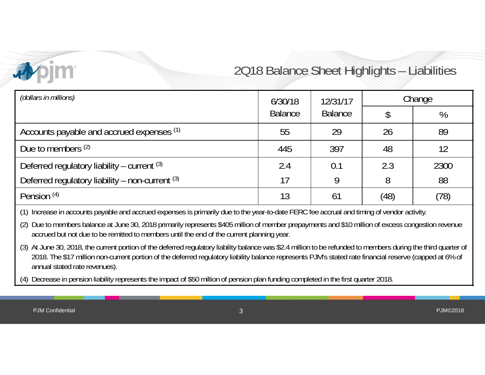### 2Q18 Balance Sheet Highlights – Liabilities

| (dollars in millions)                           | 6/30/18        | 12/31/17       | Change |      |
|-------------------------------------------------|----------------|----------------|--------|------|
|                                                 | <b>Balance</b> | <b>Balance</b> |        | %    |
| Accounts payable and accrued expenses (1)       | 55             | 29             | 26     | 89   |
| Due to members $(2)$                            | 445            | 397            | 48     | 12   |
| Deferred regulatory liability – current $(3)$   | 2.4            | 0.1            | 2.3    | 2300 |
| Deferred regulatory liability - non-current (3) | 17             | 9              | 8      | 88   |
| Pension <sup>(4)</sup>                          | 13             | 61             | (48)   | (78) |

(1) Increase in accounts payable and accrued expenses is primarily due to the year-to-date FERC fee accrual and timing of vendor activity.

(2) Due to members balance at June 30, 2018 primarily represents \$405 million of member prepayments and \$10 million of excess congestion revenue accrued but not due to be remitted to members until the end of the current planning year.

(3) At June 30, 2018, the current portion of the deferred regulatory liability balance was \$2.4 million to be refunded to members during the third quarter of 2018. The \$17 million non-current portion of the deferred regulatory liability balance represents PJM's stated rate financial reserve (capped at 6% of annual stated rate revenues).

Decrease in pension liability represents the impact of \$50 million of pension plan funding completed in the first quarter 2018.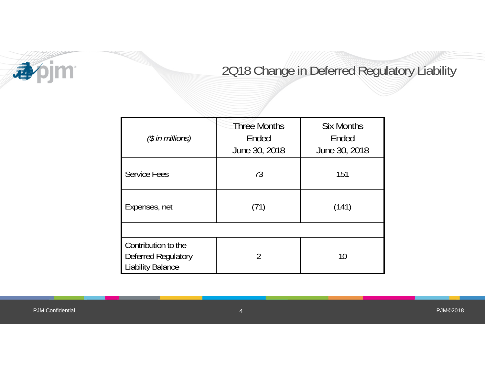

#### 2Q18 Change in Deferred Regulatory Liability

| $(\$$ in millions)                                              | <b>Three Months</b><br>Ended<br>June 30, 2018 | <b>Six Months</b><br>Ended<br>June 30, 2018 |
|-----------------------------------------------------------------|-----------------------------------------------|---------------------------------------------|
| <b>Service Fees</b>                                             | 73                                            | 151                                         |
| Expenses, net                                                   | (71)                                          | (141)                                       |
|                                                                 |                                               |                                             |
| Contribution to the<br>Deferred Regulatory<br>Liability Balance | 2                                             | 10                                          |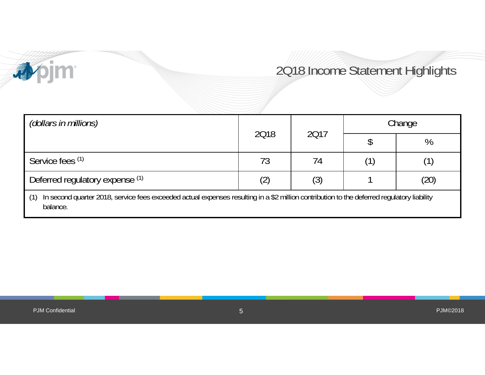

### 2Q18 Income Statement Highlights

| (dollars in millions)                                                                                                                                         |      | 2017 | Change |      |
|---------------------------------------------------------------------------------------------------------------------------------------------------------------|------|------|--------|------|
|                                                                                                                                                               | 2018 |      |        | %    |
| Service fees (1)                                                                                                                                              | 73   | 74   |        |      |
| Deferred regulatory expense (1)                                                                                                                               |      | (3)  |        | (20) |
| In second quarter 2018, service fees exceeded actual expenses resulting in a \$2 million contribution to the deferred regulatory liability<br>(1)<br>balance. |      |      |        |      |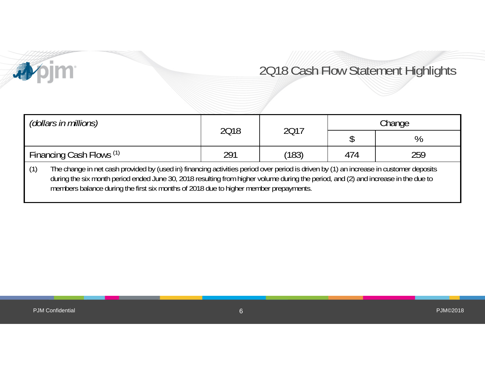## 2Q18 Cash Flow Statement Highlights

| (dollars in millions)                                                                                                                                                                                                                                                                                                                                                        | 2018 | 2017  |     |     | Change |  |
|------------------------------------------------------------------------------------------------------------------------------------------------------------------------------------------------------------------------------------------------------------------------------------------------------------------------------------------------------------------------------|------|-------|-----|-----|--------|--|
|                                                                                                                                                                                                                                                                                                                                                                              |      |       |     | %   |        |  |
| Financing Cash Flows (1)                                                                                                                                                                                                                                                                                                                                                     | 291  | (183) | 474 | 259 |        |  |
| The change in net cash provided by (used in) financing activities period over period is driven by (1) an increase in customer deposits<br>(1)<br>during the six month period ended June 30, 2018 resulting from higher volume during the period, and (2) and increase in the due to<br>members balance during the first six months of 2018 due to higher member prepayments. |      |       |     |     |        |  |

**Apjm**